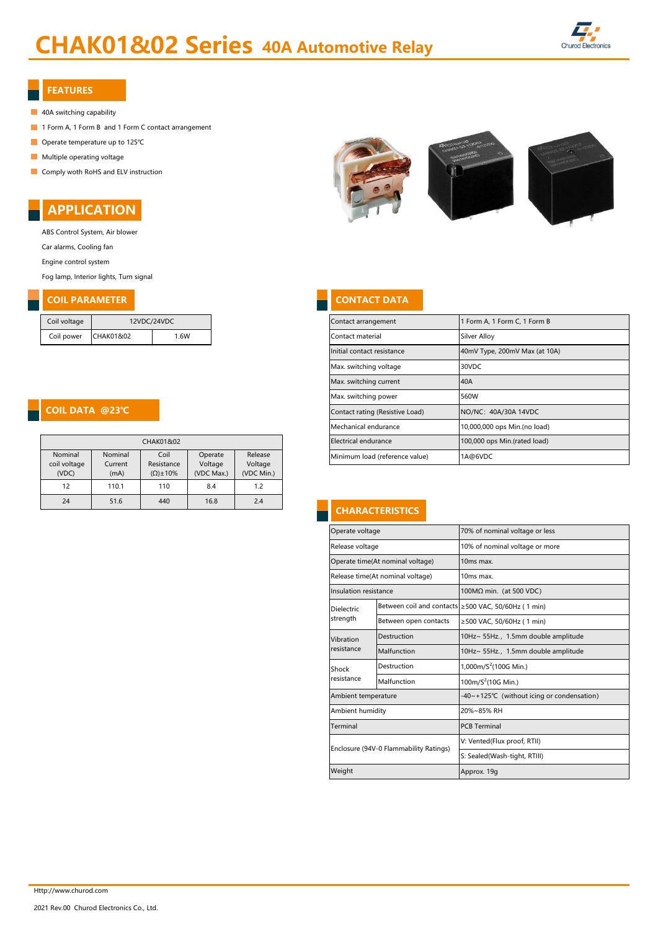# CHAK01&02 Series 40A Automotive Relay



#### FEATURES

- 40A switching capability
- 1 Form A, 1 Form B and 1 Form C contact arrangement
- Operate temperature up to 125℃
- **Multiple operating voltage**
- **Comply woth RoHS and ELV instruction**



ABS Control System, Air blower Car alarms, Cooling fan

Engine control system

Fog lamp, Interior lights, Turn signal

# **COIL PARAMETER CONTACT DATA**

| Coil voltage | 12VDC/24VDC |     |  |  |
|--------------|-------------|-----|--|--|
| Coil power   | CHAK01&02   | 16W |  |  |

#### COIL DATA @23℃

| CHAK01&02                        |                            |                                           |                                  |                                  |  |
|----------------------------------|----------------------------|-------------------------------------------|----------------------------------|----------------------------------|--|
| Nominal<br>coil voltage<br>(VDC) | Nominal<br>Current<br>(mA) | Coil<br>Resistance<br>$(\Omega) \pm 10\%$ | Operate<br>Voltage<br>(VDC Max.) | Release<br>Voltage<br>(VDC Min.) |  |
| 12                               | 110.1                      | 110                                       | 8.4                              | 1.2                              |  |
| 24                               | 51.6                       | 440                                       | 16.8                             | 2.4                              |  |



| Contact arrangement             | 1 Form A, 1 Form C, 1 Form B  |
|---------------------------------|-------------------------------|
| Contact material                | Silver Alloy                  |
| Initial contact resistance      | 40mV Type, 200mV Max (at 10A) |
| Max. switching voltage          | 30VDC                         |
| Max. switching current          | 40A                           |
| Max. switching power            | 560W                          |
| Contact rating (Resistive Load) | NO/NC: 40A/30A 14VDC          |
| Mechanical endurance            | 10,000,000 ops Min.(no load)  |
| Electrical endurance            | 100,000 ops Min.(rated load)  |
| Minimum load (reference value)  | 1A@6VDC                       |

# **CHARACTERISTICS**

| Operate voltage                        |                       | 70% of nominal voltage or less                      |  |  |  |  |
|----------------------------------------|-----------------------|-----------------------------------------------------|--|--|--|--|
| Release voltage                        |                       | 10% of nominal voltage or more                      |  |  |  |  |
| Operate time(At nominal voltage)       |                       | 10ms max.                                           |  |  |  |  |
| Release time(At nominal voltage)       |                       | 10ms max.                                           |  |  |  |  |
| Insulation resistance                  |                       | 100MΩ min. (at 500 VDC)                             |  |  |  |  |
| Dielectric                             |                       | Between coil and contacts ≥500 VAC, 50/60Hz (1 min) |  |  |  |  |
| strength                               | Between open contacts | ≥500 VAC, 50/60Hz (1 min)                           |  |  |  |  |
| Vibration<br>resistance                | Destruction           | 10Hz~ 55Hz., 1.5mm double amplitude                 |  |  |  |  |
|                                        | Malfunction           | 10Hz~ 55Hz., 1.5mm double amplitude                 |  |  |  |  |
| Shock<br>resistance                    | Destruction           | 1,000m/ $S^2$ (100G Min.)                           |  |  |  |  |
|                                        | Malfunction           | 100m/ $S^2$ (10G Min.)                              |  |  |  |  |
| Ambient temperature                    |                       | -40~+125°C (without icing or condensation)          |  |  |  |  |
| Ambient humidity                       |                       | 20%~85% RH                                          |  |  |  |  |
| Terminal                               |                       | <b>PCB Terminal</b>                                 |  |  |  |  |
| Enclosure (94V-0 Flammability Ratings) |                       | V: Vented(Flux proof, RTII)                         |  |  |  |  |
|                                        |                       | S: Sealed(Wash-tight, RTIII)                        |  |  |  |  |
| Weight                                 |                       | Approx. 19g                                         |  |  |  |  |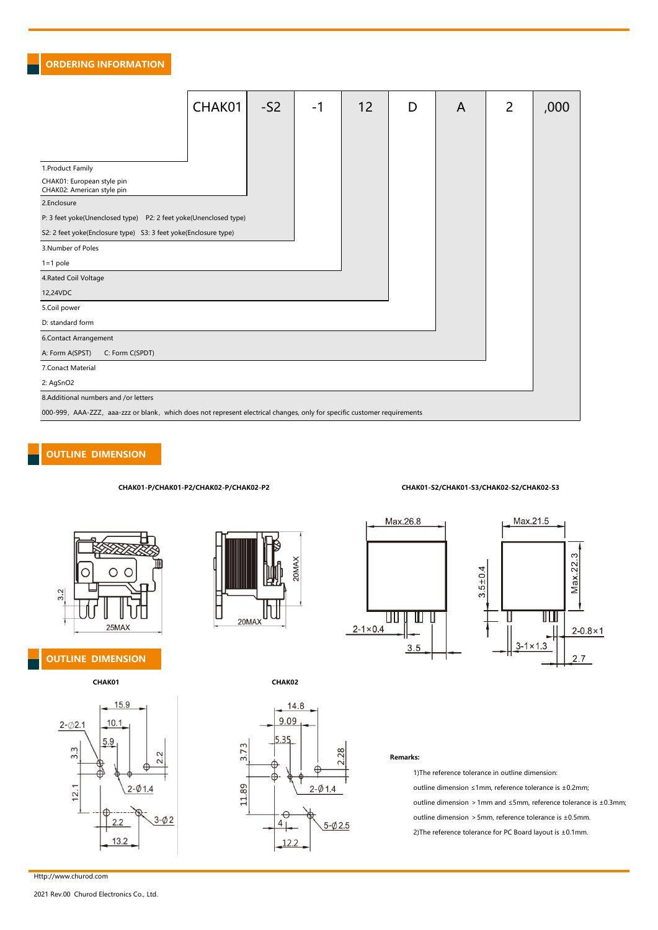#### ORDERING INFORMATION

|                                                                                                                          | CHAK01 | $-S2$ | -1 | 12 | D | A | $\overline{2}$ | ,000 |
|--------------------------------------------------------------------------------------------------------------------------|--------|-------|----|----|---|---|----------------|------|
|                                                                                                                          |        |       |    |    |   |   |                |      |
|                                                                                                                          |        |       |    |    |   |   |                |      |
| 1. Product Family                                                                                                        |        |       |    |    |   |   |                |      |
| CHAK01: European style pin<br>CHAK02: American style pin                                                                 |        |       |    |    |   |   |                |      |
| 2.Enclosure                                                                                                              |        |       |    |    |   |   |                |      |
| P: 3 feet yoke(Unenclosed type) P2: 2 feet yoke(Unenclosed type)                                                         |        |       |    |    |   |   |                |      |
| S2: 2 feet yoke(Enclosure type) S3: 3 feet yoke(Enclosure type)                                                          |        |       |    |    |   |   |                |      |
| 3.Number of Poles                                                                                                        |        |       |    |    |   |   |                |      |
| $1 = 1$ pole                                                                                                             |        |       |    |    |   |   |                |      |
| 4. Rated Coil Voltage                                                                                                    |        |       |    |    |   |   |                |      |
| 12,24VDC                                                                                                                 |        |       |    |    |   |   |                |      |
| 5.Coil power                                                                                                             |        |       |    |    |   |   |                |      |
| D: standard form                                                                                                         |        |       |    |    |   |   |                |      |
| 6.Contact Arrangement                                                                                                    |        |       |    |    |   |   |                |      |
| A: Form A(SPST)<br>C: Form C(SPDT)                                                                                       |        |       |    |    |   |   |                |      |
| 7. Conact Material                                                                                                       |        |       |    |    |   |   |                |      |
| 2: AgSnO2                                                                                                                |        |       |    |    |   |   |                |      |
| 8.Additional numbers and /or letters                                                                                     |        |       |    |    |   |   |                |      |
| 000-999, AAA-ZZZ, aaa-zzz or blank, which does not represent electrical changes, only for specific customer requirements |        |       |    |    |   |   |                |      |

#### OUTLINE DIMENSION



#### OUTLINE DIMENSION











#### CHAK01-P/CHAK01-P2/CHAK02-P/CHAK02-P2 CHAK01-S2/CHAK01-S3/CHAK02-S2/CHAK02-S3



#### Remarks:

1)The reference tolerance in outline dimension: outline dimension ≤1mm, reference tolerance is ±0.2mm; outline dimension >1mm and ≤5mm, reference tolerance is ±0.3mm; outline dimension >5mm, reference tolerance is ±0.5mm. 2)The reference tolerance for PC Board layout is ±0.1mm.

Http://www.churod.com